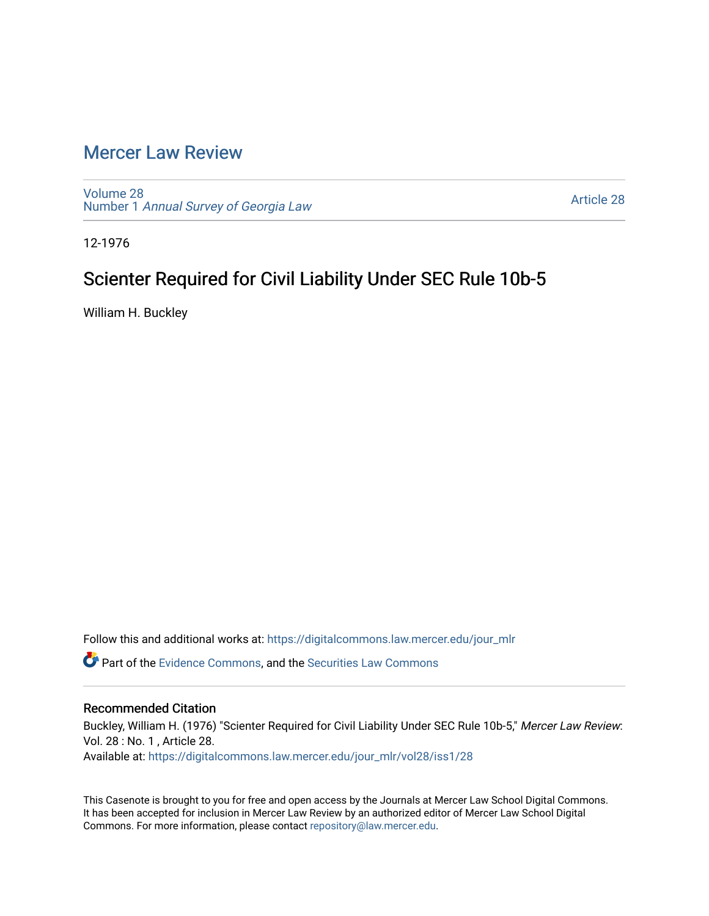## [Mercer Law Review](https://digitalcommons.law.mercer.edu/jour_mlr)

[Volume 28](https://digitalcommons.law.mercer.edu/jour_mlr/vol28) Number 1 [Annual Survey of Georgia Law](https://digitalcommons.law.mercer.edu/jour_mlr/vol28/iss1) 

[Article 28](https://digitalcommons.law.mercer.edu/jour_mlr/vol28/iss1/28) 

12-1976

## Scienter Required for Civil Liability Under SEC Rule 10b-5

William H. Buckley

Follow this and additional works at: [https://digitalcommons.law.mercer.edu/jour\\_mlr](https://digitalcommons.law.mercer.edu/jour_mlr?utm_source=digitalcommons.law.mercer.edu%2Fjour_mlr%2Fvol28%2Fiss1%2F28&utm_medium=PDF&utm_campaign=PDFCoverPages)

**P** Part of the [Evidence Commons,](http://network.bepress.com/hgg/discipline/601?utm_source=digitalcommons.law.mercer.edu%2Fjour_mlr%2Fvol28%2Fiss1%2F28&utm_medium=PDF&utm_campaign=PDFCoverPages) and the Securities Law Commons

## Recommended Citation

Buckley, William H. (1976) "Scienter Required for Civil Liability Under SEC Rule 10b-5," Mercer Law Review: Vol. 28 : No. 1 , Article 28. Available at: [https://digitalcommons.law.mercer.edu/jour\\_mlr/vol28/iss1/28](https://digitalcommons.law.mercer.edu/jour_mlr/vol28/iss1/28?utm_source=digitalcommons.law.mercer.edu%2Fjour_mlr%2Fvol28%2Fiss1%2F28&utm_medium=PDF&utm_campaign=PDFCoverPages) 

This Casenote is brought to you for free and open access by the Journals at Mercer Law School Digital Commons. It has been accepted for inclusion in Mercer Law Review by an authorized editor of Mercer Law School Digital Commons. For more information, please contact [repository@law.mercer.edu.](mailto:repository@law.mercer.edu)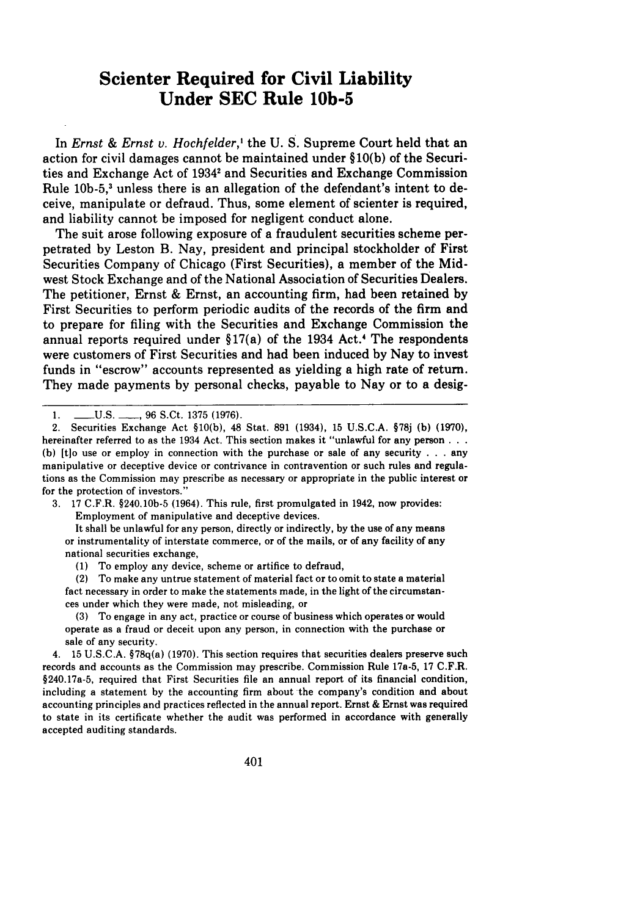## **Scienter Required for Civil Liability Under SEC Rule 10b-5**

In *Ernst & Ernst v. Hochfelder*,<sup>1</sup> the U. S. Supreme Court held that an action for civil damages cannot be maintained under §10(b) of the Securities and Exchange Act of 19342 and Securities and Exchange Commission Rule 10b-5,<sup>3</sup> unless there is an allegation of the defendant's intent to deceive, manipulate or defraud. Thus, some element of scienter is required, and liability cannot be imposed for negligent conduct alone.

The suit arose following exposure of a fraudulent securities scheme perpetrated by Leston B. Nay, president and principal stockholder of First Securities Company of Chicago (First Securities), a member of the Midwest Stock Exchange and of the National Association of Securities Dealers. The petitioner, Ernst & Ernst, an accounting firm, had been retained by First Securities to perform periodic audits of the records of the firm and to prepare for filing with the Securities and Exchange Commission the annual reports required under  $\S17(a)$  of the 1934 Act.<sup>4</sup> The respondents were customers of First Securities and had been induced by Nay to invest funds in "escrow" accounts represented as yielding a high rate of return. They made payments by personal checks, payable to Nay or to a desig-

3. 17 C.F.R. §240.10b-5 (1964). This rule, first promulgated in 1942, now provides: Employment of manipulative and deceptive devices.

It shall be unlawful for any person, directly or indirectly, by the use of any means or instrumentality of interstate commerce, or of the mails, or of any facility of any national securities exchange,

(1) To employ any device, scheme or artifice to defraud,

(2) To make any untrue statement of material fact or to omit to state a material fact necessary in order to make the statements made, in the light of the circumstances under which they were made, not misleading, or

(3) To engage in any act, practice or course of business which operates or would operate as a fraud or deceit upon any person, in connection with the purchase or sale of any security.

4. 15 U.S.C.A. §78q(a) (1970). This section requires that securities dealers preserve such records and accounts as the Commission may prescribe. Commission Rule 17a-5, 17 C.F.R. §240.17a-5, required that First Securities file an annual report of its financial condition, including a statement by the accounting firm about the company's condition and about accounting principles and practices reflected in the annual report. Ernst & Ernst was required to state in its certificate whether the audit was performed in accordance with generally accepted auditing standards.

<sup>1.</sup> **-**U.S. **-, 96 S.Ct. 1375 (1976)**.

<sup>2.</sup> Securities Exchange Act §10(b), 48 Stat. 891 (1934), 15 U.S.C.A. §78j (b) (1970), hereinafter referred to as the 1934 Act. This section makes it "unlawful for any person **. . . (b)** [tlo use or employ in connection with the purchase or sale of any security . . . any manipulative or deceptive device or contrivance in contravention or such rules and regulations as the Commission may prescribe as necessary or appropriate in the public interest or for the protection of investors."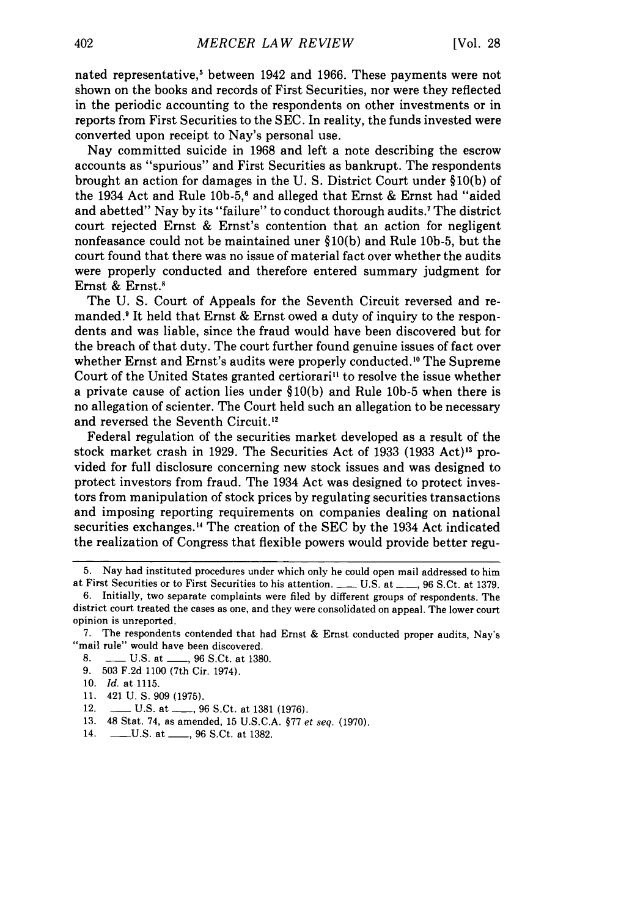nated representative,<sup>5</sup> between 1942 and 1966. These payments were not shown on the books and records of First Securities, nor were they reflected in the periodic accounting to the respondents on other investments or in reports from First Securities to the SEC. In reality, the funds invested were converted upon receipt to Nay's personal use.

Nay committed suicide in 1968 and left a note describing the escrow accounts as "spurious" and First Securities as bankrupt. The respondents brought an action for damages in the U. S. District Court under §10(b) of the 1934 Act and Rule **10b-5, <sup>6</sup>**and alleged that Ernst & Ernst had "aided and abetted" Nay by its "failure" to conduct thorough audits.' The district court rejected Ernst & Ernst's contention that an action for negligent nonfeasance could not be maintained uner §10(b) and Rule 10b-5, but the court found that there was no issue of material fact over whether the audits were properly conducted and therefore entered summary judgment for Ernst & Ernst.'

The U. S. Court of Appeals for the Seventh Circuit reversed and remanded.<sup>9</sup> It held that Ernst & Ernst owed a duty of inquiry to the respondents and was liable, since the fraud would have been discovered but for the breach of that duty. The court further found genuine issues of fact over whether Ernst and Ernst's audits were properly conducted.'0 The Supreme Court of the United States granted certiorari" to resolve the issue whether a private cause of action lies under §10(b) and Rule **10b-5** when there is no allegation of scienter. The Court held such an allegation to be necessary and reversed the Seventh Circuit.'2

Federal regulation of the securities market developed as a result of the stock market crash in 1929. The Securities Act of 1933 (1933 Act)<sup>13</sup> provided for full disclosure concerning new stock issues and was designed to protect investors from fraud. The 1934 Act was designed to protect investors from manipulation of stock prices by regulating securities transactions and imposing reporting requirements on companies dealing on national securities exchanges.'4 The creation of the SEC by the 1934 Act indicated the realization of Congress that flexible powers would provide better regu-

- 8. \_\_\_\_ U.S. at \_\_\_\_, 96 S.Ct. at 1380.
- 9. 503 F.2d 1100 (7th Cir. 1974).
- 10. *Id.* at 1115.
- 11. 421 U. **S.** 909 (1975).
- 12. **--- U.S. at ---, 96 S.Ct. at 1381 (1976).**
- 13. 48 Stat. 74, as amended, 15 **U.S.C.A.** §77 *et seq.* (1970).
- 14. -. U.S. at \_\_, 96 S.Ct. at 1382.

<sup>5.</sup> Nay had instituted procedures under which only he could open mail addressed to him at First Securities or to First Securities to his attention. \_\_\_\_ U.S. at \_\_\_, 96 S.Ct. at 1379.

<sup>6.</sup> Initially, two separate complaints were filed by different groups of respondents. The district court treated the cases as one, and they were consolidated on appeal. The lower court opinion is unreported.

<sup>7.</sup> The respondents contended that had Ernst & Ernst conducted proper audits, Nay's "mail rule" would have been discovered.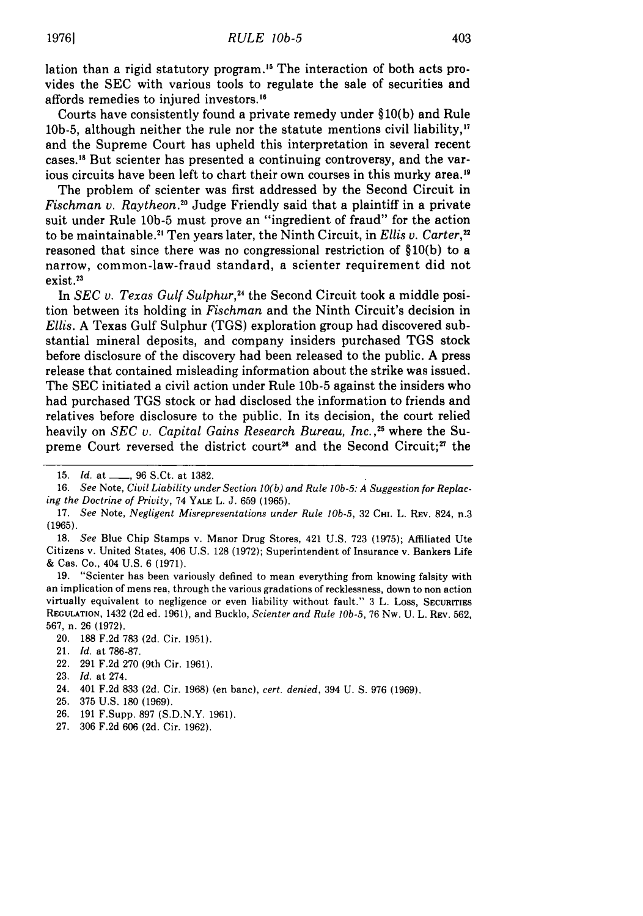lation than a rigid statutory program.<sup>15</sup> The interaction of both acts provides the SEC with various tools to regulate the sale of securities and affords remedies to injured investors.<sup>16</sup>

Courts have consistently found a private remedy under §10(b) and Rule 10b-5, although neither the rule nor the statute mentions civil liability, $"$ and the Supreme Court has upheld this interpretation in several recent cases.<sup>18</sup> But scienter has presented a continuing controversy, and the various circuits have been left to chart their own courses in this murky area."

The problem of scienter was first addressed by the Second Circuit in *Fischman v. Raytheon.*<sup>20</sup> Judge Friendly said that a plaintiff in a private suit under Rule **10b-5** must prove an "ingredient of fraud" for the action to be maintainable.2' Ten years later, the Ninth Circuit, in *Ellis v. Carter,"* reasoned that since there was no congressional restriction of  $$10(b)$  to a narrow, common-law-fraud standard, a scienter requirement did not exist.<sup>23</sup>

In *SEC v. Texas Gulf Sulphur,"4* the Second Circuit took a middle position between its holding in *Fischman* and the Ninth Circuit's decision in *Ellis.* A Texas Gulf Sulphur (TGS) exploration group had discovered substantial mineral deposits, and company insiders purchased TGS stock before disclosure of the discovery had been released to the public. A press release that contained misleading information about the strike was issued. The SEC initiated a civil action under Rule **10b-5** against the insiders who had purchased TGS stock or had disclosed the information to friends and relatives before disclosure to the public. In its decision, the court relied heavily on *SEC v. Capital Gains Research Bureau, Inc.*,<sup>25</sup> where the Supreme Court reversed the district court<sup>26</sup> and the Second Circuit;<sup>7</sup> the

22. **291** F.2d **270** (9th Cir. 1961).

- 24. 401 F.2d 833 (2d. Cir. **1968)** (en banc), *cert. denied,* 394 U. **S. 976** (1969).
- 25. **375** U.S. 180 **(1969).**
- **26. 191** F.Supp. **897** (S.D.N.Y. 1961).
- 27. **306** F.2d 606 (2d. Cir. **1962).**

<sup>15.</sup> *Id.* at \_\_, **96** S.Ct. at 1382.

<sup>16.</sup> *See* Note, *Civil Liability under Section 10(b) and Rule lOb-5: A Suggestion for Replacing the Doctrine of* Privity, 74 YALE L. J. 659 (1965).

<sup>17.</sup> *See* Note, *Negligent Misrepresentations under Rule lOb-5,* 32 **CI.** L. REv. 824, n.3 (1965).

<sup>18.</sup> *See* Blue Chip Stamps v. Manor Drug Stores, 421 U.S. 723 (1975); Affiliated Ute Citizens v. United States, 406 U.S. 128 (1972); Superintendent of Insurance v. Bankers Life & Cas. Co., 404 U.S. 6 (1971).

<sup>19. &</sup>quot;Scienter has been variously defined to mean everything from knowing falsity with an implication of mens rea, through the various gradations of recklessness, down to non action virtually equivalent to negligence or even liability without fault." 3 L. Loss, **SECURITIES** REGULATION, 1432 **(2d** ed. 1961), and Bucklo, *Scienter and Rule lOb-5,* 76 Nw. U. L. REV. 562, 567, n. **26** (1972).

<sup>20.</sup> **188** F.2d 783 (2d. Cir. 1951).

<sup>21.</sup> *Id.* at 786-87.

**<sup>23.</sup>** *Id.* at 274.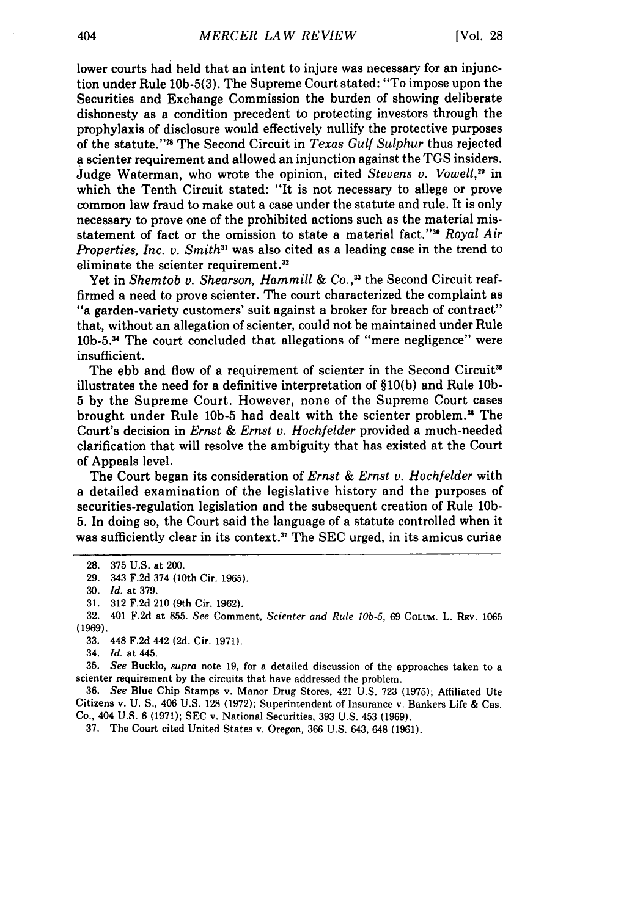lower courts had held that an intent to injure was necessary for an injunction under Rule 10b-5(3). The Supreme Court stated: "To impose upon the Securities and Exchange Commission the burden of showing deliberate dishonesty as a condition precedent to protecting investors through the prophylaxis of disclosure would effectively nullify the protective purposes of the statute."" The Second Circuit in *Texas Gulf Sulphur* thus rejected a scienter requirement and allowed an injunction against the TGS insiders. Judge Waterman, who wrote the opinion, cited *Stevens v. Vowell,"* in which the Tenth Circuit stated: "It is not necessary to allege or prove common law fraud to make out a case under the statute and rule. It is only necessary to prove one of the prohibited actions such as the material misstatement of fact or the omission to state a material fact."<sup>30</sup> Royal Air *Properties, Inc. v. Smith*<sup>31</sup> was also cited as a leading case in the trend to eliminate the scienter requirement.<sup>32</sup>

Yet in *Shemtob v. Shearson, Hammill & Co.*,<sup>33</sup> the Second Circuit reaffirmed a need to prove scienter. The court characterized the complaint as "a garden-variety customers' suit against a broker for breach of contract" that, without an allegation of scienter, could not be maintained under Rule 10b-5.34 The court concluded that allegations of "mere negligence" were insufficient.

The ebb and flow of a requirement of scienter in the Second Circuit<sup>35</sup> illustrates the need for a definitive interpretation of §10(b) and Rule **10b-**5 by the Supreme Court. However, none of the Supreme Court cases brought under Rule 10b-5 had dealt with the scienter problem.<sup>36</sup> The Court's decision in *Ernst & Ernst v. Hochfelder* provided a much-needed clarification that will resolve the ambiguity that has existed at the Court of Appeals level.

The Court began its consideration of *Ernst & Ernst v. Hochfelder* with a detailed examination of the legislative history and the purposes of securities-regulation legislation and the subsequent creation of Rule **10b-**5. In doing so, the Court said the language of a statute controlled when it was sufficiently clear in its context.<sup>37</sup> The SEC urged, in its amicus curiae

37. The Court cited United States v. Oregon, **366** U.S. 643, 648 (1961).

<sup>28. 375</sup> U.S. at 200.

<sup>29. 343</sup> F.2d 374 (10th Cir. 1965).

<sup>30.</sup> *Id.* at 379.

<sup>31. 312</sup> F.2d 210 (9th Cir. 1962).

<sup>32. 401</sup> F.2d at 855. *See* Comment, *Scienter and Rule lOb-5,* 69 COLUM. L. REv. 1065 **(1969).**

<sup>33. 448</sup> F.2d 442 (2d. Cir. 1971).

<sup>34.</sup> *Id.* at 445.

<sup>35.</sup> *See* Bucklo, *supra* note 19, for a detailed discussion of the approaches taken to a scienter requirement by the circuits that have addressed the problem.

**<sup>36.</sup>** *See* Blue Chip Stamps v. Manor Drug Stores, 421 U.S. 723 (1975); Affiliated Ute Citizens v. U. **S.,** 406 U.S. 128 (1972); Superintendent of Insurance v. Bankers Life & Cas. Co., 404 U.S. **6** (1971); **SEC** v. National Securities, 393 U.S. 453 (1969).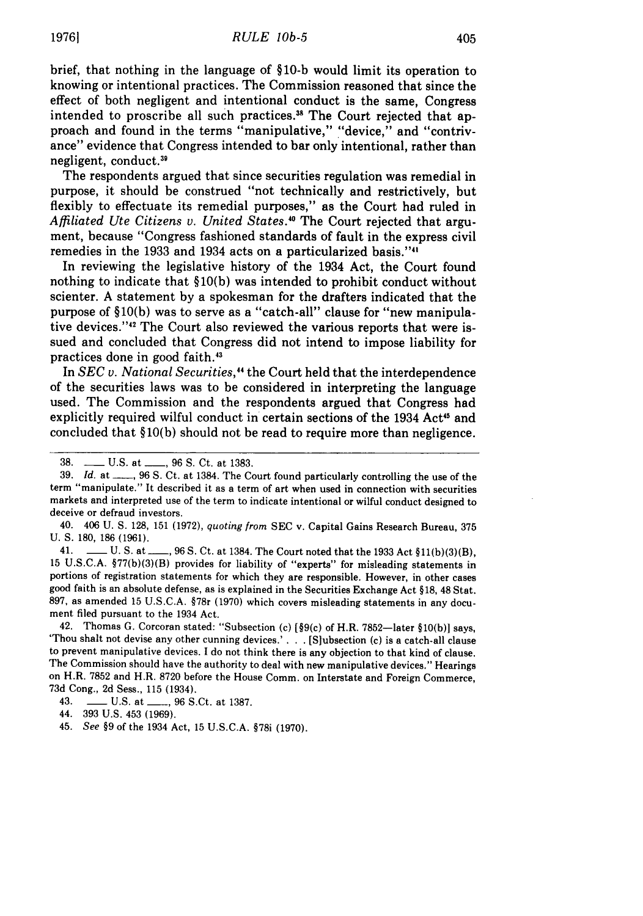brief, that nothing in the language of **§10-b** would limit its operation to knowing or intentional practices. The Commission reasoned that since the effect of both negligent and intentional conduct is the same, Congress intended to proscribe all such practices.<sup>38</sup> The Court rejected that approach and found in the terms "manipulative," "device," and "contrivance" evidence that Congress intended to bar only intentional, rather than negligent, conduct.<sup>39</sup>

The respondents argued that since securities regulation was remedial in purpose, it should be construed "not technically and restrictively, but flexibly to effectuate its remedial purposes," as the Court had ruled in *Affiliated Ute Citizens v. United States.10* The Court rejected that argument, because "Congress fashioned standards of fault in the express civil remedies in the **1933** and 1934 acts on a particularized basis.""

In reviewing the legislative history of the 1934 Act, the Court found nothing to indicate that **§10(b)** was intended to prohibit conduct without scienter. **A** statement **by** a spokesman for the drafters indicated that the purpose of **§10(b)** was to serve as a "catch-all" clause for "new manipulative devices."<sup>42</sup> The Court also reviewed the various reports that were issued and concluded that Congress did not intend to impose liability for practices done in good faith.<sup>43</sup>

In *SEC v. National Securities,"* the Court held that the interdependence of the securities laws was to be considered in interpreting the language used. The Commission and the respondents argued that Congress had explicitly required wilful conduct in certain sections of the 1934 Act<sup>45</sup> and concluded that **§10(b)** should not be read to require more than negligence.

40. 406 **U. S. 128, 151 (1972),** *quoting from* **SEC** v. Capital Gains Research Bureau, **375 U. S. 180, 186 (1961).**

41. **\_\_ U. S. at\_\_, 96 S.** Ct. at 1384. The Court noted that the **1933** Act **§11(b)(3)(B), 15 U.S.C.A. §77(b)(3)(B)** provides for liability of "experts" for misleading statements in portions of registration statements for which they are responsible. However, in other cases good faith is an absolute defense, as is explained in the Securities Exchange Act **§18,** 48 Stat. **897,** as amended **15 U.S.C.A.** §78r **(1970)** which covers misleading statements in any document filed pursuant to the 1934 Act.

42. Thomas **G.** Corcoran stated: "Subsection (c) [§9(c) of H.R. 7852-later **§10(b)]** says, 'Thou shalt not devise any other cunning devices.' **. . .** [S]ubsection (c) is a catch-all clause to prevent manipulative devices. **I** do not think there is any objection to that kind of clause. The Commission should have the authority to deal with new manipulative devices." Hearings on H.R. **7852** and H.R. **8720** before the House Comm. on Interstate and Foreign Commerce, **73d** Cong., **2d** Sess., **115** (1934).

**<sup>38.</sup> - U.S.** at **-, 96 S.** Ct. at **1383.**

**<sup>39.</sup>** *Id.* at **- , 96 S.** Ct. at 1384. The Court found particularly controlling the use of the term "manipulate." It described it as a term of art when used in connection with securities markets and interpreted use of the term to indicate intentional or wilful conduct designed to deceive or defraud investors.

<sup>43.</sup> **\_\_ U.S.** at **\_\_, 96** S.Ct. at **1387.**

<sup>44.</sup> **393 U.S.** 453 **(1969).**

<sup>45.</sup> *See* **§9** of the 1934 Act, **15 U.S.C.A.** §78i **(1970).**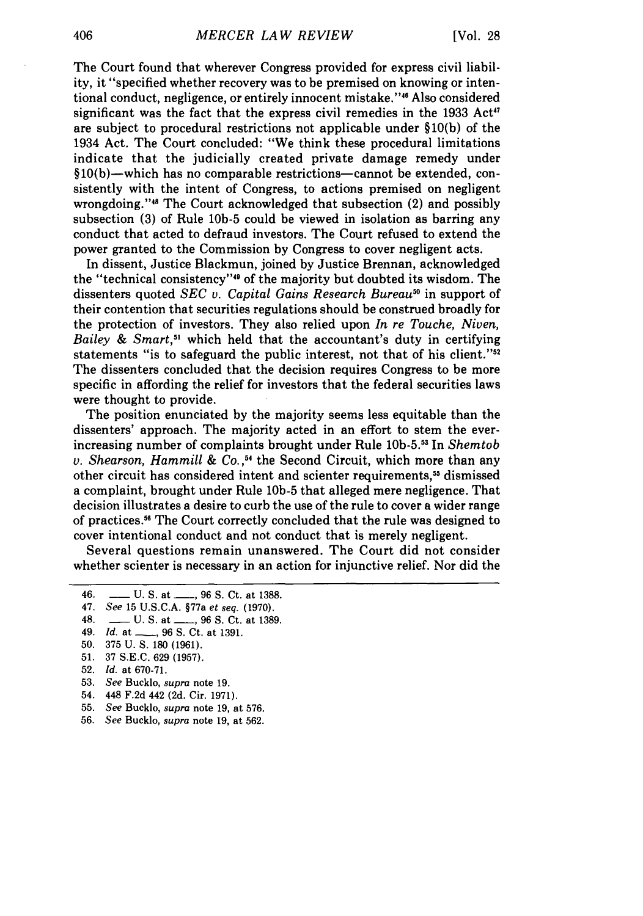The Court found that wherever Congress provided for express civil liability, it "specified whether recovery was to be premised on knowing or intentional conduct, negligence, or entirely innocent mistake."" Also considered significant was the fact that the express civil remedies in the  $1933$  Act<sup>47</sup> are subject to procedural restrictions not applicable under §10(b) of the 1934 Act. The Court concluded: "We think these procedural limitations indicate that the judicially created private damage remedy under  $§10(b)$ —which has no comparable restrictions—cannot be extended, consistently with the intent of Congress, to actions premised on negligent wrongdoing."<sup>48</sup> The Court acknowledged that subsection (2) and possibly subsection (3) of Rule **10b-5** could be viewed in isolation as barring any conduct that acted to defraud investors. The Court refused to extend the power granted to the Commission by Congress to cover negligent acts.

In dissent, Justice Blackmun, joined by Justice Brennan, acknowledged the "technical consistency"<sup>49</sup> of the majority but doubted its wisdom. The dissenters quoted *SEC v. Capital Gains Research Bureau*<sup>50</sup> in support of their contention that securities regulations should be construed broadly for the protection of investors. They also relied upon *In re Touche, Niven, Bailey & Smart,51* which held that the accountant's duty in certifying statements "is to safeguard the public interest, not that of his client."<sup>52</sup> The dissenters concluded that the decision requires Congress to be more specific in affording the relief for investors that the federal securities laws were thought to provide.

The position enunciated by the majority seems less equitable than the dissenters' approach. The majority acted in an effort to stem the everincreasing number of complaints brought under Rule **10b-5.** In *Shemtob* v. *Shearson, Hammill & Co.,"'* the Second Circuit, which more than any other circuit has considered intent and scienter requirements,<sup>55</sup> dismissed a complaint, brought under Rule **10b-5** that alleged mere negligence. That decision illustrates a desire to curb the use of the rule to cover a wider range of practices." The Court correctly concluded that the rule was designed to cover intentional conduct and not conduct that is merely negligent.

Several questions remain unanswered. The Court did not consider whether scienter is necessary in an action for injunctive relief. Nor did the

- 54. 448 F.2d 442 (2d. Cir. 1971).
- 55. See Bucklo, *supra* note 19, at 576.
- 56. *See* Bucklo, *supra* note 19, at 562.

<sup>46.</sup> \_\_ **U.** S. at \_\_ 96 **S.** Ct. at 1388.

<sup>47.</sup> *See* 15 U.S.C.A. §77a *et seq.* (1970).

<sup>48.</sup> \_\_ **U.** S. at , 96 **S.** Ct. at 1389.

<sup>49.</sup> *Id.* at **-,** 96 **S.** Ct. at 1391.

<sup>50. 375</sup> U. S. 180 (1961).

<sup>51. 37</sup> S.E.C. 629 (1957).

<sup>52.</sup> *Id.* at 670-71.

<sup>53.</sup> *See* Bucklo, *supra* note 19.